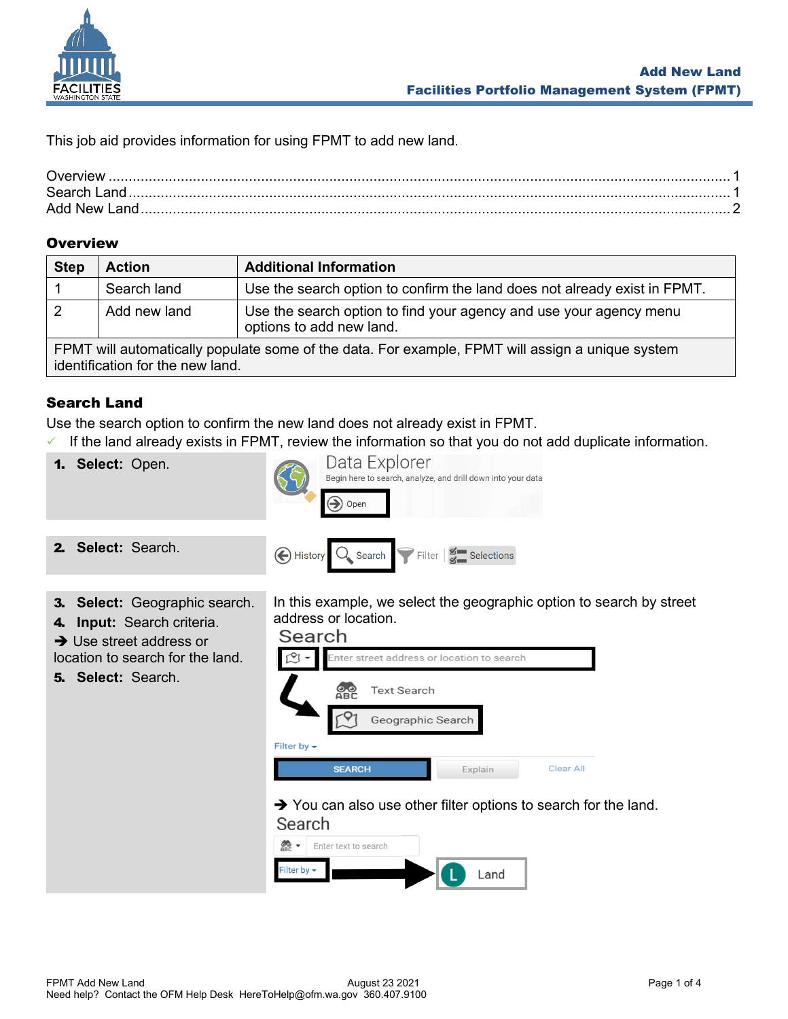

This job aid provides information for using FPMT to add new land.

| Overview      |  |
|---------------|--|
| Search Land   |  |
| Add New Land. |  |

## <span id="page-0-0"></span>**Overview**

| <b>Step</b>                                                                                                                          | <b>Action</b> | <b>Additional Information</b>                                                                  |  |  |
|--------------------------------------------------------------------------------------------------------------------------------------|---------------|------------------------------------------------------------------------------------------------|--|--|
|                                                                                                                                      | Search land   | Use the search option to confirm the land does not already exist in FPMT.                      |  |  |
| 2                                                                                                                                    | Add new land  | Use the search option to find your agency and use your agency menu<br>options to add new land. |  |  |
| FPMT will automatically populate some of the data. For example, FPMT will assign a unique system<br>identification for the new land. |               |                                                                                                |  |  |

# <span id="page-0-1"></span>Search Land

Use the search option to confirm the new land does not already exist in FPMT.

 $\checkmark$  If the land already exists in FPMT, review the information so that you do not add duplicate information.

1. **Select:** Open.

2. **Select:** Search.



- 
- 3. **Select:** Geographic search.
- 4. **Input:** Search criteria.
- **→ Use street address or**

location to search for the land.

5. **Select:** Search.

In this example, we select the geographic option to search by street address or location.



➔ You can also use other filter options to search for the land.

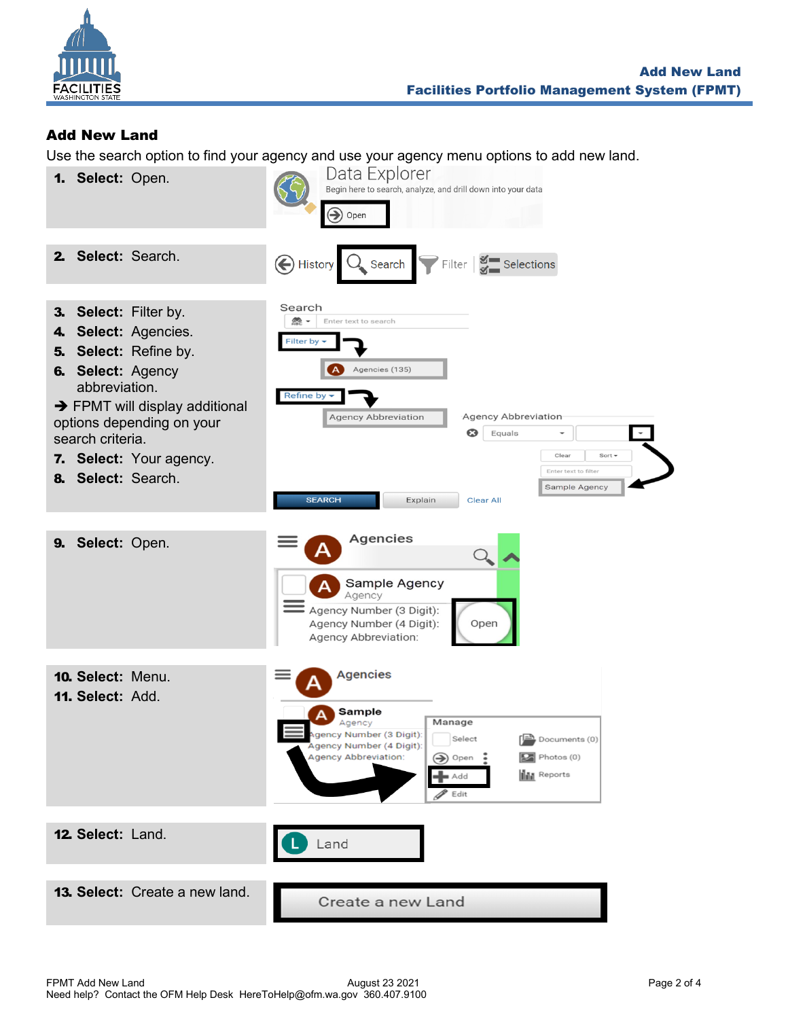

# <span id="page-1-0"></span>Add New Land

Use the search option to find your agency and use your agency menu options to add new land.

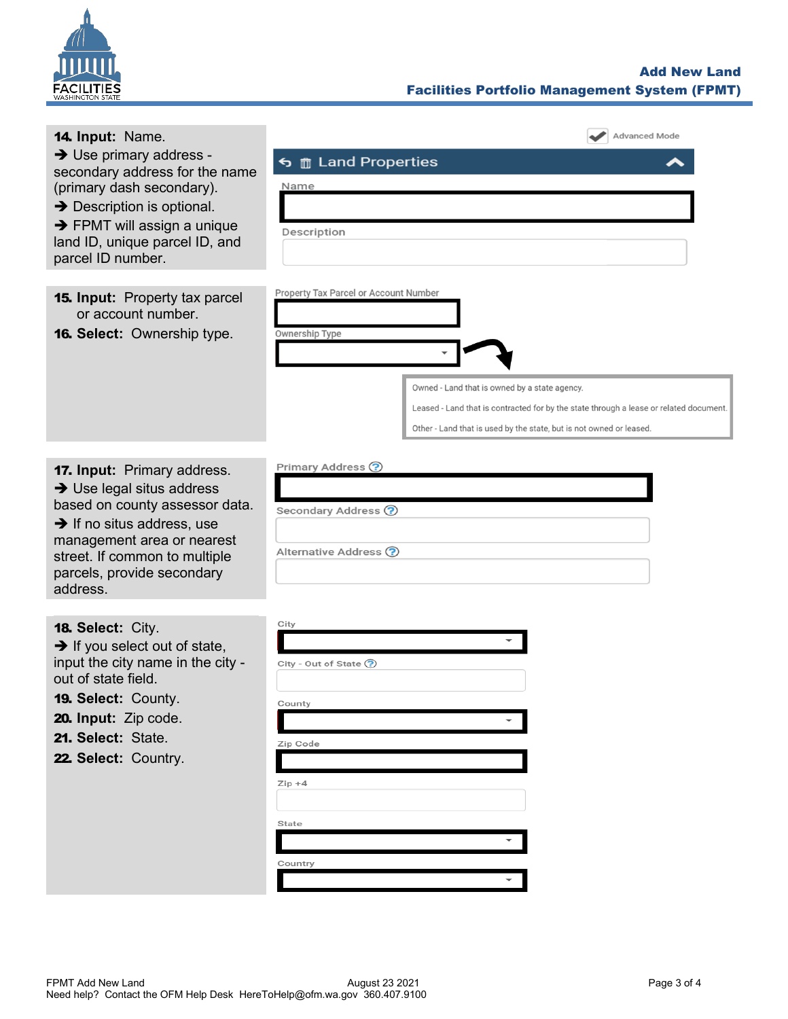

## Add New Land Facilities Portfolio Management System (FPMT)

| 14. Input: Name.                                                                                                                                                                                                                                                 | <b>Advanced Mode</b>                                                                                                                                                                                                                                                      |
|------------------------------------------------------------------------------------------------------------------------------------------------------------------------------------------------------------------------------------------------------------------|---------------------------------------------------------------------------------------------------------------------------------------------------------------------------------------------------------------------------------------------------------------------------|
| $\rightarrow$ Use primary address -<br>secondary address for the name<br>(primary dash secondary).<br>$\rightarrow$ Description is optional.<br>$\rightarrow$ FPMT will assign a unique<br>land ID, unique parcel ID, and<br>parcel ID number.                   | <br><b>f</b> Land Properties<br>Name<br>Description                                                                                                                                                                                                                       |
| <b>15. Input:</b> Property tax parcel<br>or account number.<br><b>16. Select: Ownership type.</b>                                                                                                                                                                | Property Tax Parcel or Account Number<br>Ownership Type<br>Owned - Land that is owned by a state agency.<br>Leased - Land that is contracted for by the state through a lease or related document.<br>Other - Land that is used by the state, but is not owned or leased. |
| <b>17. Input: Primary address.</b><br>$\rightarrow$ Use legal situs address<br>based on county assessor data.<br>$\rightarrow$ If no situs address, use<br>management area or nearest<br>street. If common to multiple<br>parcels, provide secondary<br>address. | Primary Address ?<br>Secondary Address ?<br>Alternative Address ?                                                                                                                                                                                                         |
| 18. Select: City.<br>$\rightarrow$ If you select out of state,<br>input the city name in the city -<br>out of state field.<br>19. Select: County.<br>20. Input: Zip code.<br>21. Select: State.<br>22. Select: Country.                                          | City<br>City - Out of State (?)<br>County<br>Zip Code<br>$Zip + 4$<br>State<br>Country                                                                                                                                                                                    |